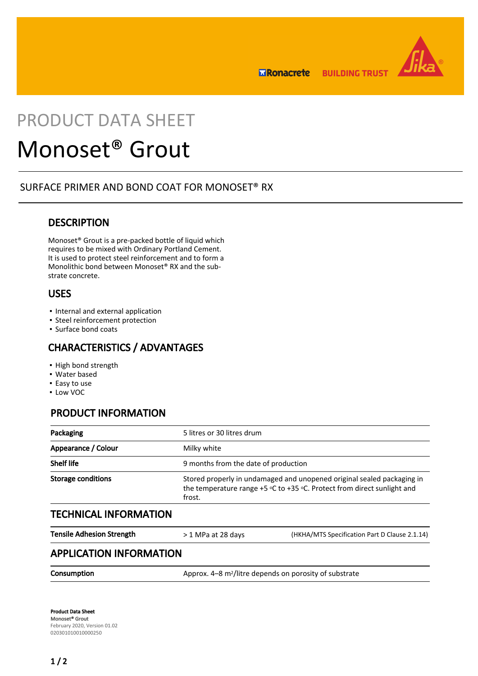

**MRonacrete BUILDING TRUST** 

## PRODUCT DATA SHEET

# Monoset® Grout

#### SURFACE PRIMER AND BOND COAT FOR MONOSET® RX

#### **DESCRIPTION**

Monoset® Grout is a pre-packed bottle of liquid which requires to be mixed with Ordinary Portland Cement. It is used to protect steel reinforcement and to form a Monolithic bond between Monoset® RX and the substrate concrete.

#### USES

- Internal and external application
- **· Steel reinforcement protection**
- Surface bond coats

#### CHARACTERISTICS / ADVANTAGES

- High bond strength
- Water based
- Easy to use
- Low VOC

## PRODUCT INFORMATION

| Packaging                 | 5 litres or 30 litres drum                                                                                                                                  |  |
|---------------------------|-------------------------------------------------------------------------------------------------------------------------------------------------------------|--|
| Appearance / Colour       | Milky white                                                                                                                                                 |  |
| <b>Shelf life</b>         | 9 months from the date of production                                                                                                                        |  |
| <b>Storage conditions</b> | Stored properly in undamaged and unopened original sealed packaging in<br>the temperature range +5 °C to +35 °C. Protect from direct sunlight and<br>frost. |  |

#### TECHNICAL INFORMATION

| <b>Tensile Adhesion Strength</b> | > 1 MPa at 28 days                                                 | (HKHA/MTS Specification Part D Clause 2.1.14) |  |  |
|----------------------------------|--------------------------------------------------------------------|-----------------------------------------------|--|--|
| <b>APPLICATION INFORMATION</b>   |                                                                    |                                               |  |  |
| Consumption                      | Approx. 4-8 m <sup>2</sup> /litre depends on porosity of substrate |                                               |  |  |

Product Data Sheet Monoset® Grout February 2020, Version 01.02 020301010010000250